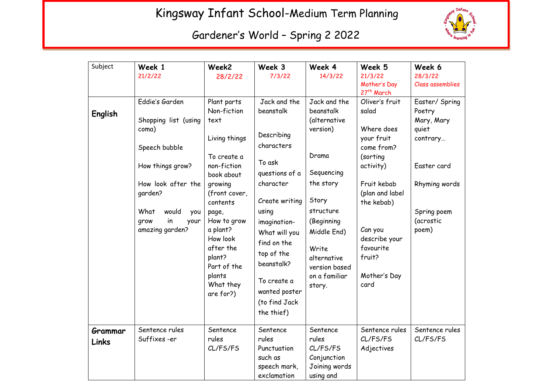## Kingsway Infant School-Medium Term Planning



## Gardener's World – Spring 2 2022

| Subject          | Week 1<br>21/2/22                                             | Week2<br>28/2/22                                                                                                       | Week 3<br>7/3/22                                                                                                                                 | Week 4<br>14/3/22                                                                                          | Week 5<br>21/3/22                                                       | Week 6<br>28/3/22                 |
|------------------|---------------------------------------------------------------|------------------------------------------------------------------------------------------------------------------------|--------------------------------------------------------------------------------------------------------------------------------------------------|------------------------------------------------------------------------------------------------------------|-------------------------------------------------------------------------|-----------------------------------|
|                  |                                                               |                                                                                                                        |                                                                                                                                                  |                                                                                                            | Mother's Day<br>27th March                                              | Class assemblies                  |
| English          | Eddie's Garden                                                | Plant parts<br>Non-fiction                                                                                             | Jack and the<br>beanstalk                                                                                                                        | Jack and the<br>beanstalk                                                                                  | Oliver's fruit<br>salad                                                 | Easter/ Spring<br>Poetry          |
|                  | Shopping list (using<br>coma)<br>Speech bubble                | text<br>Living things                                                                                                  | Describing<br>characters                                                                                                                         | (alternative<br>version)                                                                                   | Where does<br>your fruit<br>come from?                                  | Mary, Mary<br>quiet<br>contrary   |
|                  | How things grow?                                              | To create a<br>non-fiction<br>book about                                                                               | To ask<br>questions of a                                                                                                                         | Drama<br>Sequencing                                                                                        | (sorting<br>activity)                                                   | Easter card                       |
|                  | How look after the<br>garden?                                 | growing<br>(front cover,<br>contents                                                                                   | character<br>Create writing                                                                                                                      | the story<br>Story                                                                                         | Fruit kebab<br>(plan and label<br>the kebab)                            | Rhyming words                     |
|                  | What<br>would<br>you<br>in<br>grow<br>your<br>amazing garden? | page,<br>How to grow<br>a plant?<br>How look<br>after the<br>plant?<br>Part of the<br>plants<br>What they<br>are for?) | using<br>imagination-<br>What will you<br>find on the<br>top of the<br>beanstalk?<br>To create a<br>wanted poster<br>(to find Jack<br>the thief) | structure<br>(Beginning<br>Middle End)<br>Write<br>alternative<br>version based<br>on a familiar<br>story. | Can you<br>describe your<br>favourite<br>fruit?<br>Mother's Day<br>card | Spring poem<br>(acrostic<br>poem) |
| Grammar<br>Links | Sentence rules<br>Suffixes-er                                 | Sentence<br>rules<br>CL/FS/FS                                                                                          | Sentence<br>rules<br>Punctuation<br>such as<br>speech mark,<br>exclamation                                                                       | Sentence<br>rules<br>CL/FS/FS<br>Conjunction<br>Joining words<br>using and                                 | Sentence rules<br>CL/FS/FS<br>Adjectives                                | Sentence rules<br>CL/FS/FS        |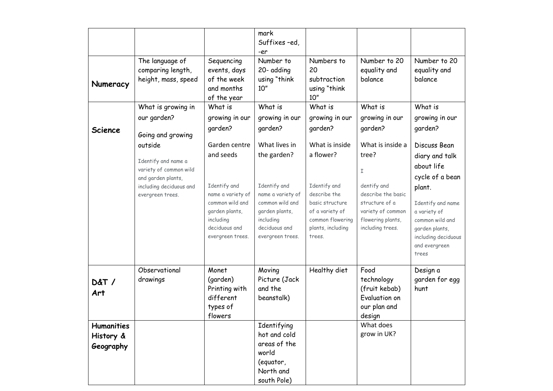|                                             |                                                                                                                               |                                                                                                                                                        | mark<br>Suffixes-ed,<br>-er                                                                                                                              |                                                                                                                                                      |                                                                                                                                                     |                                                                                                                                                                                                      |
|---------------------------------------------|-------------------------------------------------------------------------------------------------------------------------------|--------------------------------------------------------------------------------------------------------------------------------------------------------|----------------------------------------------------------------------------------------------------------------------------------------------------------|------------------------------------------------------------------------------------------------------------------------------------------------------|-----------------------------------------------------------------------------------------------------------------------------------------------------|------------------------------------------------------------------------------------------------------------------------------------------------------------------------------------------------------|
| Numeracy                                    | The language of<br>comparing length,<br>height, mass, speed                                                                   | Sequencing<br>events, days<br>of the week<br>and months<br>of the year                                                                                 | Number to<br>20- adding<br>using "think<br>10"                                                                                                           | Numbers to<br>20<br>subtraction<br>using "think<br>10"                                                                                               | Number to 20<br>equality and<br>balance                                                                                                             | Number to 20<br>equality and<br>balance                                                                                                                                                              |
|                                             | What is growing in                                                                                                            | What is                                                                                                                                                | What is                                                                                                                                                  | What is                                                                                                                                              | What is                                                                                                                                             | What is                                                                                                                                                                                              |
| <b>Science</b>                              | our garden?<br>Going and growing                                                                                              | growing in our<br>garden?                                                                                                                              | growing in our<br>garden?                                                                                                                                | growing in our<br>garden?                                                                                                                            | growing in our<br>garden?                                                                                                                           | growing in our<br>garden?                                                                                                                                                                            |
|                                             | outside<br>Identify and name a<br>variety of common wild<br>and garden plants,<br>including deciduous and<br>evergreen trees. | Garden centre<br>and seeds<br>Identify and<br>name a variety of<br>common wild and<br>garden plants,<br>including<br>deciduous and<br>evergreen trees. | What lives in<br>the garden?<br>Identify and<br>name a variety of<br>common wild and<br>garden plants,<br>including<br>deciduous and<br>evergreen trees. | What is inside<br>a flower?<br>Identify and<br>describe the<br>basic structure<br>of a variety of<br>common flowering<br>plants, including<br>trees. | What is inside a<br>tree?<br>I<br>dentify and<br>describe the basic<br>structure of a<br>variety of common<br>flowering plants,<br>including trees. | Discuss Bean<br>diary and talk<br>about life<br>cycle of a bean<br>plant.<br>Identify and name<br>a variety of<br>common wild and<br>garden plants,<br>including deciduous<br>and evergreen<br>trees |
| <b>D&amp;T/</b><br>Art                      | Observational<br>drawings                                                                                                     | Monet<br>(garden)<br>Printing with<br>different<br>types of<br>flowers                                                                                 | Moving<br>Picture (Jack<br>and the<br>beanstalk)                                                                                                         | Healthy diet                                                                                                                                         | Food<br>technology<br>(fruit kebab)<br>Evaluation on<br>our plan and<br>design                                                                      | Design a<br>garden for egg<br>hunt                                                                                                                                                                   |
| <b>Humanities</b><br>History &<br>Geography |                                                                                                                               |                                                                                                                                                        | Identifying<br>hot and cold<br>areas of the<br>world<br>(equator,<br>North and<br>south Pole)                                                            |                                                                                                                                                      | What does<br>grow in UK?                                                                                                                            |                                                                                                                                                                                                      |